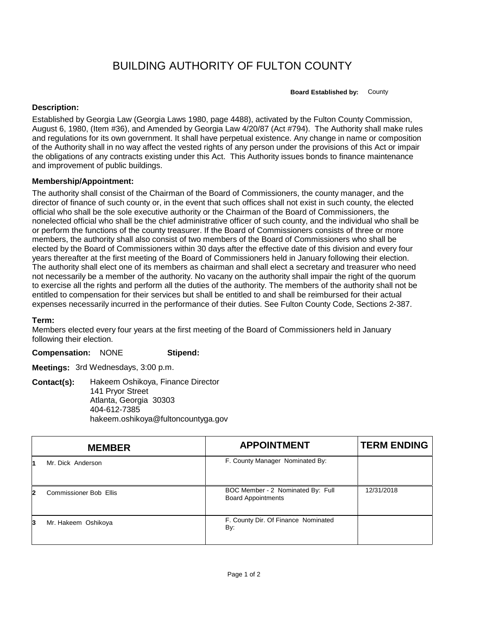## BUILDING AUTHORITY OF FULTON COUNTY

**Board Established by:** County

## **Description:**

Established by Georgia Law (Georgia Laws 1980, page 4488), activated by the Fulton County Commission, August 6, 1980, (Item #36), and Amended by Georgia Law 4/20/87 (Act #794). The Authority shall make rules and regulations for its own government. It shall have perpetual existence. Any change in name or composition of the Authority shall in no way affect the vested rights of any person under the provisions of this Act or impair the obligations of any contracts existing under this Act. This Authority issues bonds to finance maintenance and improvement of public buildings.

## **Membership/Appointment:**

The authority shall consist of the Chairman of the Board of Commissioners, the county manager, and the director of finance of such county or, in the event that such offices shall not exist in such county, the elected official who shall be the sole executive authority or the Chairman of the Board of Commissioners, the nonelected official who shall be the chief administrative officer of such county, and the individual who shall be or perform the functions of the county treasurer. If the Board of Commissioners consists of three or more members, the authority shall also consist of two members of the Board of Commissioners who shall be elected by the Board of Commissioners within 30 days after the effective date of this division and every four years thereafter at the first meeting of the Board of Commissioners held in January following their election. The authority shall elect one of its members as chairman and shall elect a secretary and treasurer who need not necessarily be a member of the authority. No vacany on the authority shall impair the right of the quorum to exercise all the rights and perform all the duties of the authority. The members of the authority shall not be entitled to compensation for their services but shall be entitled to and shall be reimbursed for their actual expenses necessarily incurred in the performance of their duties. See Fulton County Code, Sections 2-387.

## **Term:**

Members elected every four years at the first meeting of the Board of Commissioners held in January following their election.

**Compensation:** NONE **Stipend:**

**Meetings:** 3rd Wednesdays, 3:00 p.m.

**Contact(s):** Hakeem Oshikoya, Finance Director 141 Pryor Street Atlanta, Georgia 30303 404-612-7385 hakeem.oshikoya@fultoncountyga.gov

|    | <b>MEMBER</b>                 | <b>APPOINTMENT</b>                                             | <b>TERM ENDING</b> |
|----|-------------------------------|----------------------------------------------------------------|--------------------|
|    | Mr. Dick Anderson             | F. County Manager Nominated By:                                |                    |
| 2  | <b>Commissioner Bob Ellis</b> | BOC Member - 2 Nominated By: Full<br><b>Board Appointments</b> | 12/31/2018         |
| 13 | Mr. Hakeem Oshikoya           | F. County Dir. Of Finance Nominated<br>By:                     |                    |